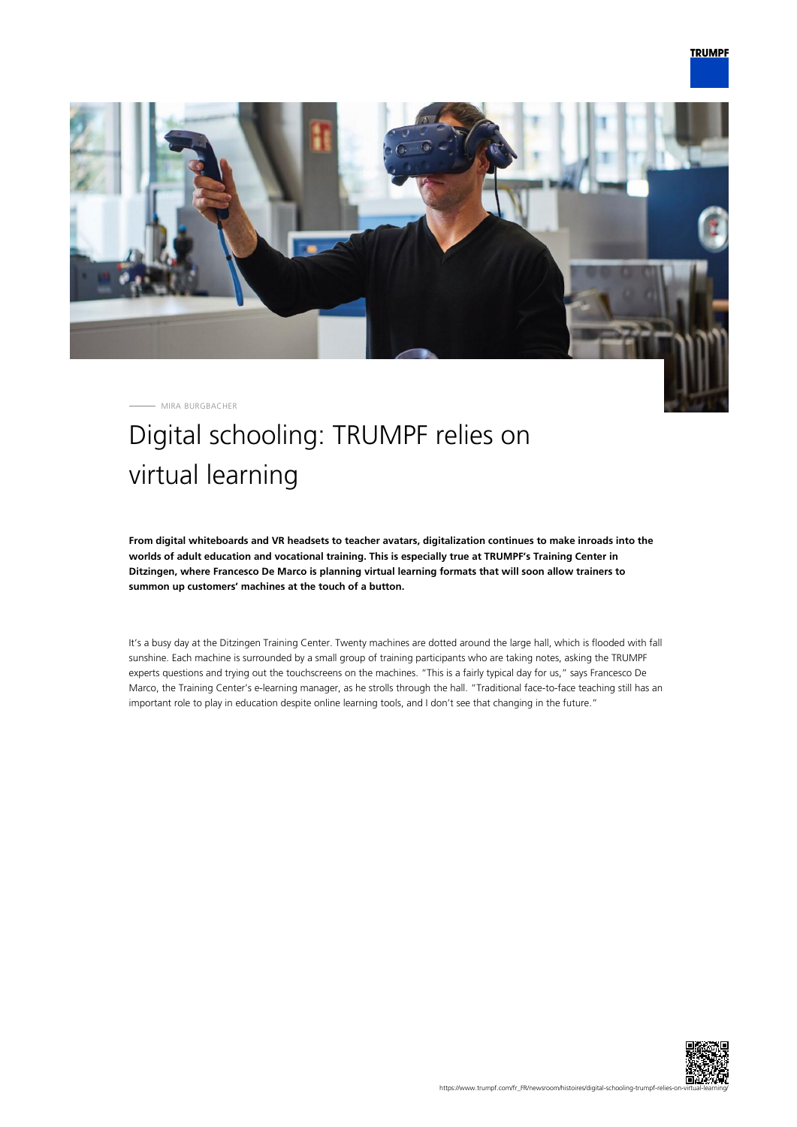

MIRA BURGBACHER

## Digital schooling: TRUMPF relies on virtual learning

**From digital whiteboards and VR headsets to teacher avatars, digitalization continues to make inroads into the worlds of adult education and vocational training. This is especially true at TRUMPF's Training Center in Ditzingen, where Francesco De Marco is planning virtual learning formats that will soon allow trainers to summon up customers' machines at the touch of a button.**

It's a busy day at the Ditzingen Training Center. Twenty machines are dotted around the large hall, which is flooded with fall sunshine. Each machine is surrounded by a small group of training participants who are taking notes, asking the TRUMPF experts questions and trying out the touchscreens on the machines. "This is a fairly typical day for us," says Francesco De Marco, the Training Center's e-learning manager, as he strolls through the hall. "Traditional face-to-face teaching still has an important role to play in education despite online learning tools, and I don't see that changing in the future."

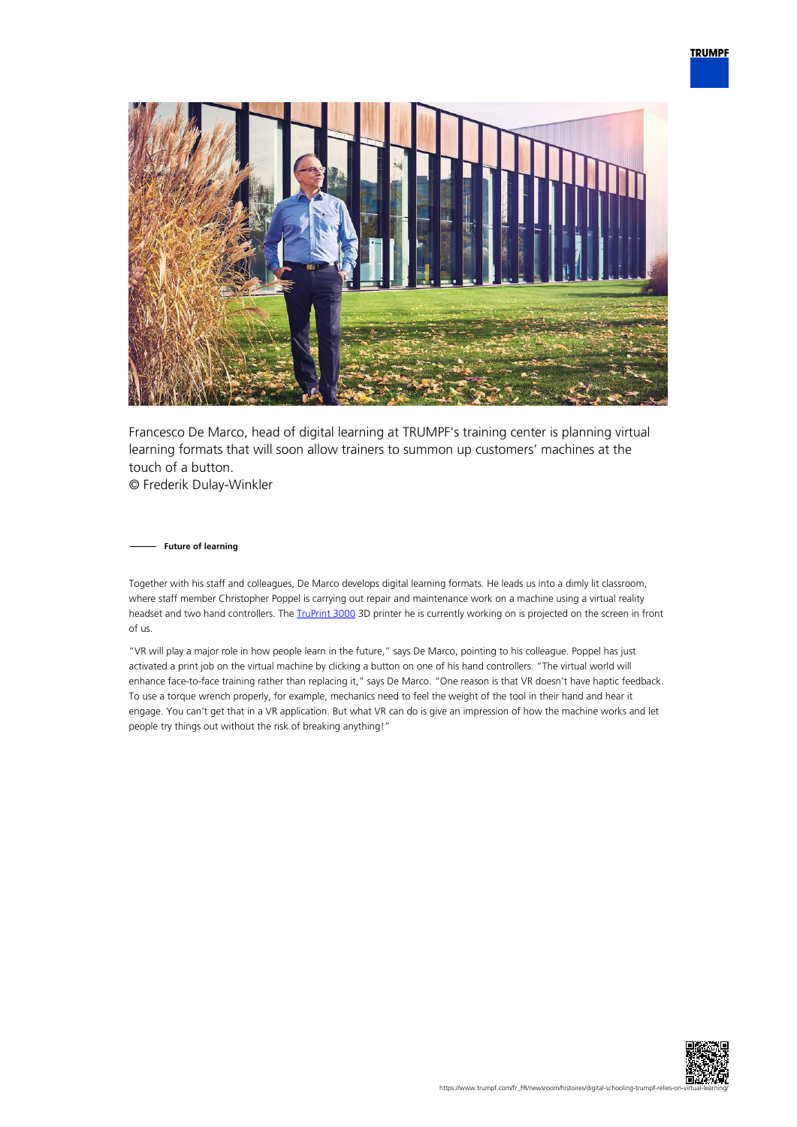

Francesco De Marco, head of digital learning at TRUMPF's training center is planning virtual learning formats that will soon allow trainers to summon up customers' machines at the touch of a button. © Frederik Dulay-Winkler

**Future of learning**

Together with his staff and colleagues, De Marco develops digital learning formats. He leads us into a dimly lit classroom, where staff member Christopher Poppel is carrying out repair and maintenance work on a machine using a virtual reality headset and two hand controllers. The **TruPrint 3000** 3D printer he is currently working on is projected on the screen in front of us.

"VR will play a major role in how people learn in the future," says De Marco, pointing to his colleague. Poppel has just activated a print job on the virtual machine by clicking a button on one of his hand controllers. "The virtual world will enhance face-to-face training rather than replacing it," says De Marco. "One reason is that VR doesn't have haptic feedback. To use a torque wrench properly, for example, mechanics need to feel the weight of the tool in their hand and hear it engage. You can't get that in a VR application. But what VR can do is give an impression of how the machine works and let people try things out without the risk of breaking anything!"

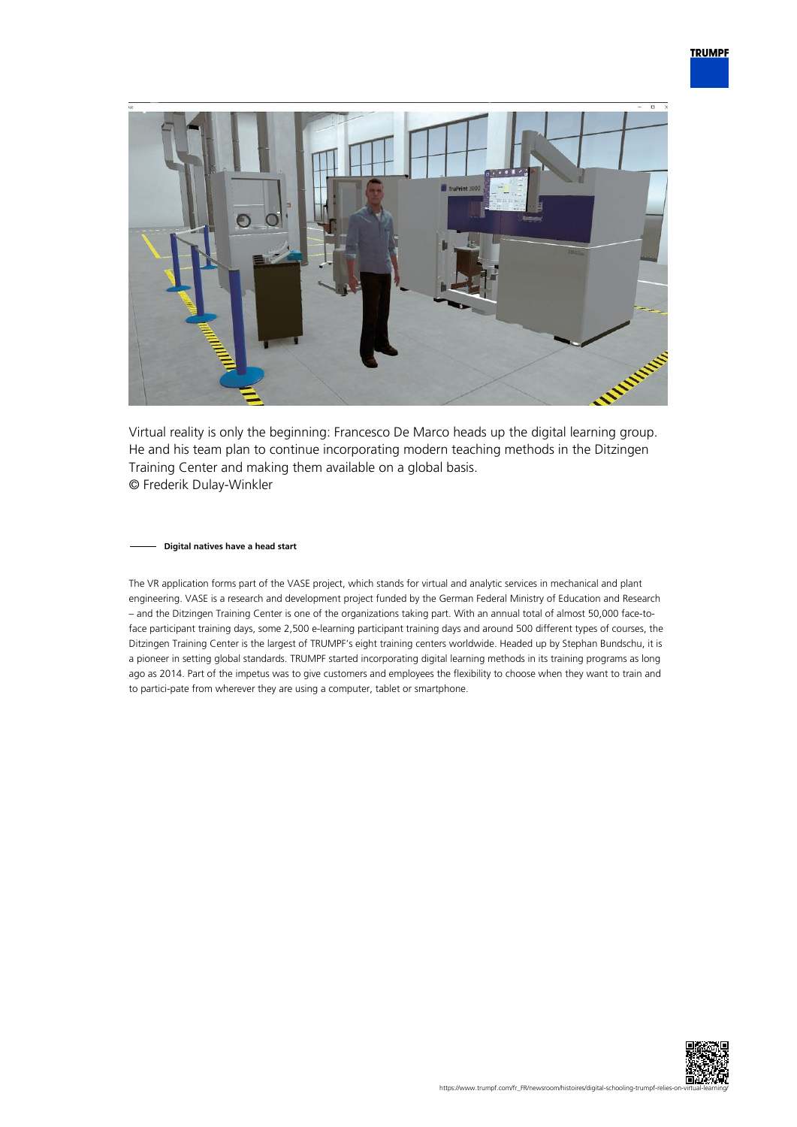

Virtual reality is only the beginning: Francesco De Marco heads up the digital learning group. He and his team plan to continue incorporating modern teaching methods in the Ditzingen Training Center and making them available on a global basis. © Frederik Dulay-Winkler

## **Digital natives have a head start**

The VR application forms part of the VASE project, which stands for virtual and analytic services in mechanical and plant engineering. VASE is a research and development project funded by the German Federal Ministry of Education and Research – and the Ditzingen Training Center is one of the organizations taking part. With an annual total of almost 50,000 face-toface participant training days, some 2,500 e-learning participant training days and around 500 different types of courses, the Ditzingen Training Center is the largest of TRUMPF's eight training centers worldwide. Headed up by Stephan Bundschu, it is a pioneer in setting global standards. TRUMPF started incorporating digital learning methods in its training programs as long ago as 2014. Part of the impetus was to give customers and employees the flexibility to choose when they want to train and to partici-pate from wherever they are using a computer, tablet or smartphone.

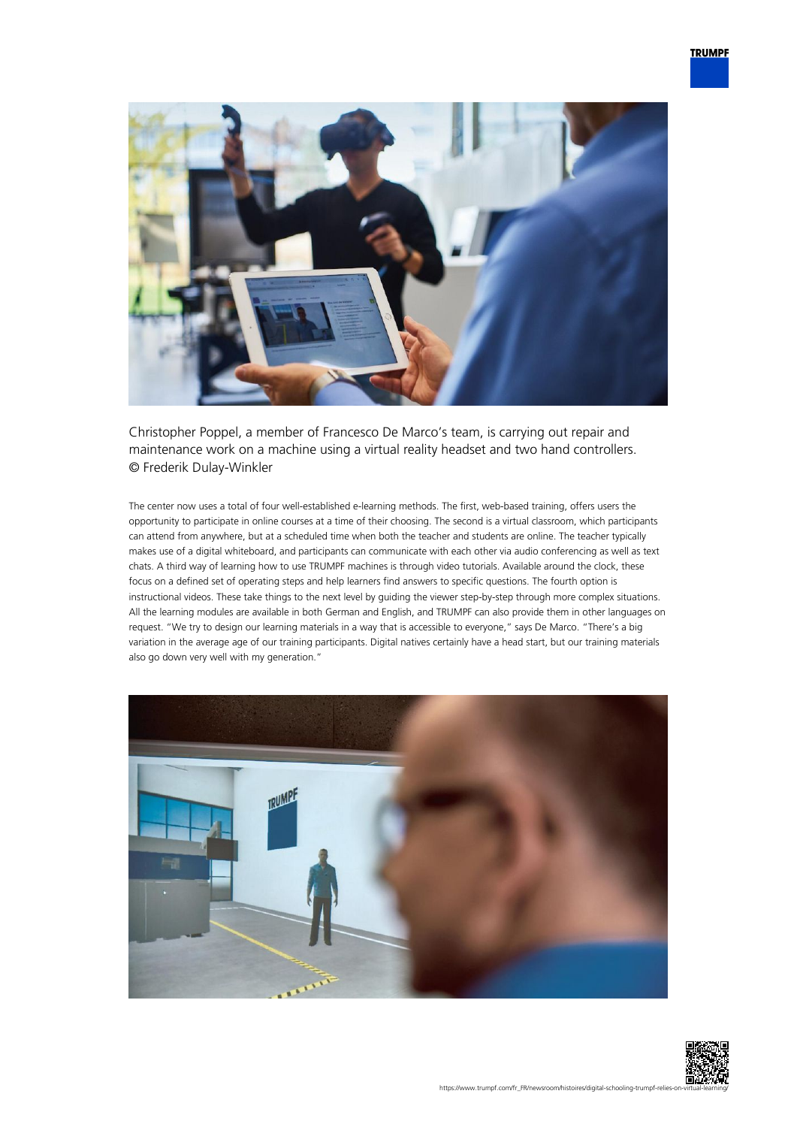

Christopher Poppel, a member of Francesco De Marco's team, is carrying out repair and maintenance work on a machine using a virtual reality headset and two hand controllers. © Frederik Dulay-Winkler

The center now uses a total of four well-established e-learning methods. The first, web-based training, offers users the opportunity to participate in online courses at a time of their choosing. The second is a virtual classroom, which participants can attend from anywhere, but at a scheduled time when both the teacher and students are online. The teacher typically makes use of a digital whiteboard, and participants can communicate with each other via audio conferencing as well as text chats. A third way of learning how to use TRUMPF machines is through video tutorials. Available around the clock, these focus on a defined set of operating steps and help learners find answers to specific questions. The fourth option is instructional videos. These take things to the next level by guiding the viewer step-by-step through more complex situations. All the learning modules are available in both German and English, and TRUMPF can also provide them in other languages on request. "We try to design our learning materials in a way that is accessible to everyone," says De Marco. "There's a big variation in the average age of our training participants. Digital natives certainly have a head start, but our training materials also go down very well with my generation."



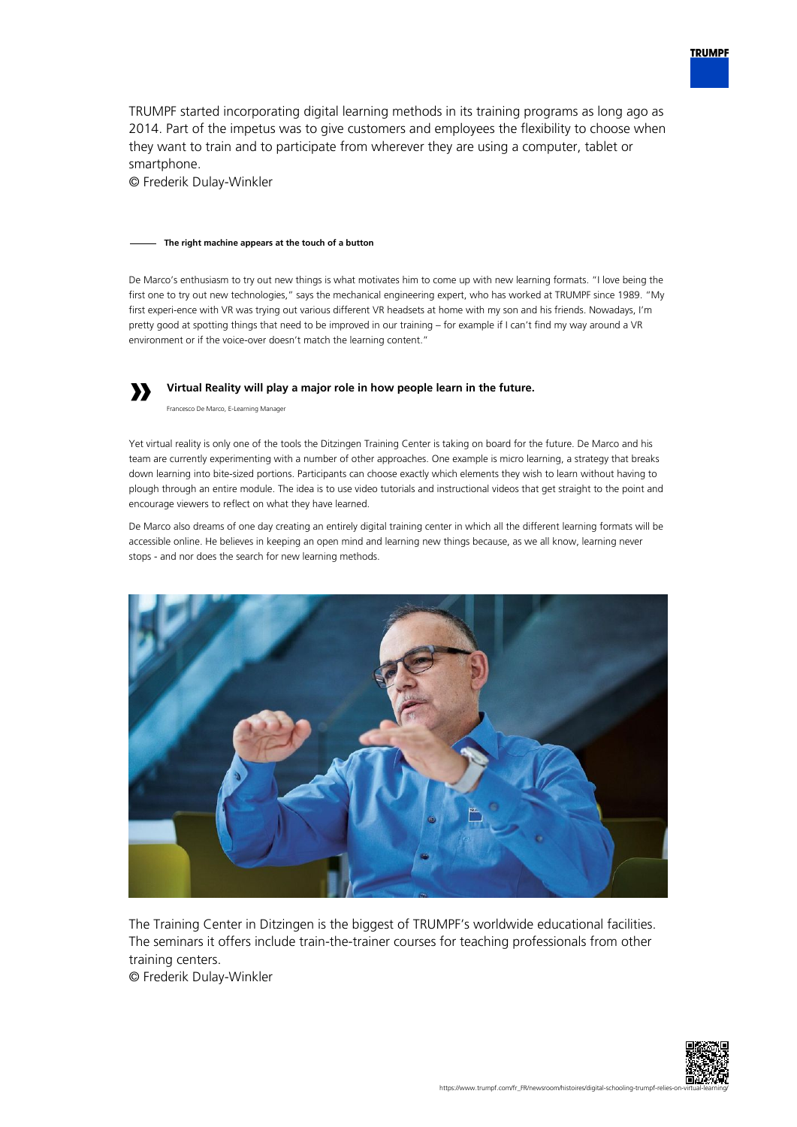TRUMPF started incorporating digital learning methods in its training programs as long ago as 2014. Part of the impetus was to give customers and employees the flexibility to choose when they want to train and to participate from wherever they are using a computer, tablet or smartphone.

© Frederik Dulay-Winkler

## **The right machine appears at the touch of a button**

De Marco's enthusiasm to try out new things is what motivates him to come up with new learning formats. "I love being the first one to try out new technologies," says the mechanical engineering expert, who has worked at TRUMPF since 1989. "My first experi-ence with VR was trying out various different VR headsets at home with my son and his friends. Nowadays, I'm pretty good at spotting things that need to be improved in our training – for example if I can't find my way around a VR environment or if the voice-over doesn't match the learning content."

## **» Virtual Reality will play a major role in how people learn in the future.**

Francesco De Marco, E-Learning Manager

Yet virtual reality is only one of the tools the Ditzingen Training Center is taking on board for the future. De Marco and his team are currently experimenting with a number of other approaches. One example is micro learning, a strategy that breaks down learning into bite-sized portions. Participants can choose exactly which elements they wish to learn without having to plough through an entire module. The idea is to use video tutorials and instructional videos that get straight to the point and encourage viewers to reflect on what they have learned.

De Marco also dreams of one day creating an entirely digital training center in which all the different learning formats will be accessible online. He believes in keeping an open mind and learning new things because, as we all know, learning never stops - and nor does the search for new learning methods.



The Training Center in Ditzingen is the biggest of TRUMPF's worldwide educational facilities. The seminars it offers include train-the-trainer courses for teaching professionals from other training centers.

© Frederik Dulay-Winkler



**TRUMPF**